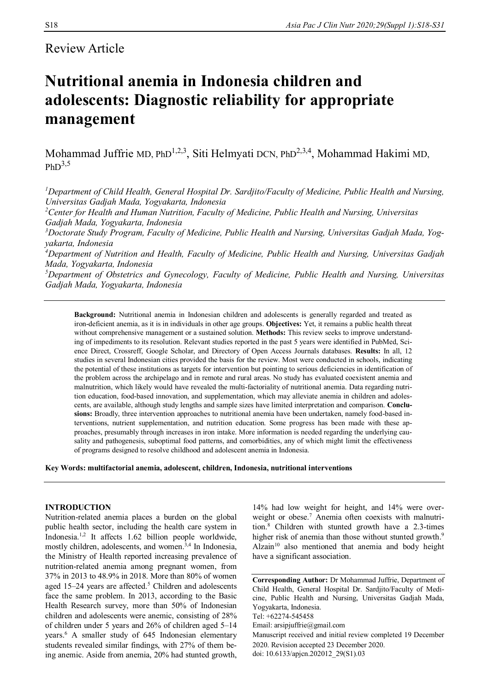# Review Article

# **Nutritional anemia in Indonesia children and adolescents: Diagnostic reliability for appropriate management**

Mohammad Juffrie MD, PhD<sup>1,2,3</sup>, Siti Helmyati DCN, PhD<sup>2,3,4</sup>, Mohammad Hakimi MD,  $PhD<sup>3,5</sup>$ 

*<sup>1</sup>Department of Child Health, General Hospital Dr. Sardjito/Faculty of Medicine, Public Health and Nursing, Universitas Gadjah Mada, Yogyakarta, Indonesia* 

*<sup>2</sup>Center for Health and Human Nutrition, Faculty of Medicine, Public Health and Nursing, Universitas Gadjah Mada, Yogyakarta, Indonesia*

*3Doctorate Study Program, Faculty of Medicine, Public Health and Nursing, Universitas Gadjah Mada, Yogyakarta, Indonesia*

*<sup>4</sup>Department of Nutrition and Health, Faculty of Medicine, Public Health and Nursing, Universitas Gadjah Mada, Yogyakarta, Indonesia*

*<sup>5</sup>Department of Obstetrics and Gynecology, Faculty of Medicine, Public Health and Nursing, Universitas Gadjah Mada, Yogyakarta, Indonesia*

**Background:** Nutritional anemia in Indonesian children and adolescents is generally regarded and treated as iron-deficient anemia, as it is in individuals in other age groups. **Objectives:** Yet, it remains a public health threat without comprehensive management or a sustained solution. **Methods:** This review seeks to improve understanding of impediments to its resolution. Relevant studies reported in the past 5 years were identified in PubMed, Science Direct, Crossreff, Google Scholar, and Directory of Open Access Journals databases. **Results:** In all, 12 studies in several Indonesian cities provided the basis for the review. Most were conducted in schools, indicating the potential of these institutions as targets for intervention but pointing to serious deficiencies in identification of the problem across the archipelago and in remote and rural areas. No study has evaluated coexistent anemia and malnutrition, which likely would have revealed the multi-factoriality of nutritional anemia. Data regarding nutrition education, food-based innovation, and supplementation, which may alleviate anemia in children and adolescents, are available, although study lengths and sample sizes have limited interpretation and comparison. **Conclusions:** Broadly, three intervention approaches to nutritional anemia have been undertaken, namely food-based interventions, nutrient supplementation, and nutrition education. Some progress has been made with these approaches, presumably through increases in iron intake. More information is needed regarding the underlying causality and pathogenesis, suboptimal food patterns, and comorbidities, any of which might limit the effectiveness of programs designed to resolve childhood and adolescent anemia in Indonesia.

**Key Words: multifactorial anemia, adolescent, children, Indonesia, nutritional interventions**

# **INTRODUCTION**

Nutrition-related anemia places a burden on the global public health sector, including the health care system in Indonesia.1,2 It affects 1.62 billion people worldwide, mostly children, adolescents, and women.<sup>3,4</sup> In Indonesia, the Ministry of Health reported increasing prevalence of nutrition-related anemia among pregnant women, from 37% in 2013 to 48.9% in 2018. More than 80% of women aged 15–24 years are affected.<sup>5</sup> Children and adolescents face the same problem. In 2013, according to the Basic Health Research survey, more than 50% of Indonesian children and adolescents were anemic, consisting of 28% of children under 5 years and 26% of children aged 5–14 years.<sup>6</sup> A smaller study of 645 Indonesian elementary students revealed similar findings, with 27% of them being anemic. Aside from anemia, 20% had stunted growth,

14% had low weight for height, and 14% were overweight or obese.<sup>7</sup> Anemia often coexists with malnutrition.<sup>8</sup> Children with stunted growth have a 2.3-times higher risk of anemia than those without stunted growth.<sup>9</sup> Alzain<sup>10</sup> also mentioned that anemia and body height have a significant association.

**Corresponding Author:** Dr Mohammad Juffrie, Department of Child Health, General Hospital Dr. Sardjito/Faculty of Medicine, Public Health and Nursing, Universitas Gadjah Mada, Yogyakarta, Indonesia. Tel: +62274-545458

Email: arsipjuffrie@gmail.com

Manuscript received and initial review completed 19 December 2020. Revision accepted 23 December 2020. doi: 10.6133/apjcn.202012\_29(S1).03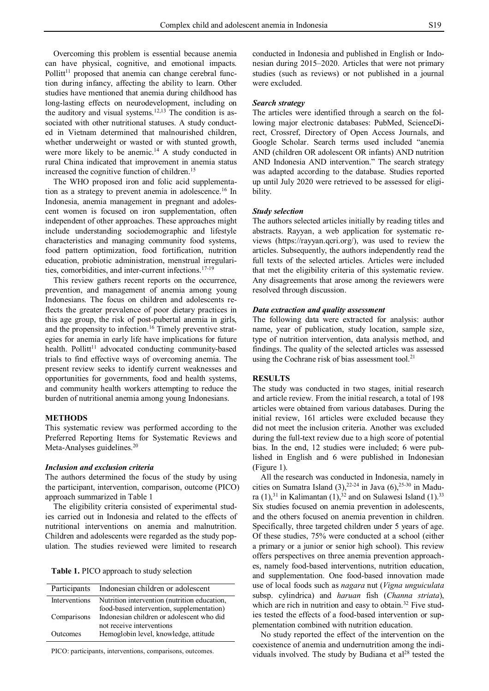Overcoming this problem is essential because anemia can have physical, cognitive, and emotional impacts. Pollitt $11$  proposed that anemia can change cerebral function during infancy, affecting the ability to learn. Other studies have mentioned that anemia during childhood has long-lasting effects on neurodevelopment, including on the auditory and visual systems.<sup>12,13</sup> The condition is associated with other nutritional statuses. A study conducted in Vietnam determined that malnourished children, whether underweight or wasted or with stunted growth, were more likely to be anemic.<sup>14</sup> A study conducted in rural China indicated that improvement in anemia status increased the cognitive function of children.<sup>15</sup>

The WHO proposed iron and folic acid supplementation as a strategy to prevent anemia in adolescence.<sup>16</sup> In Indonesia, anemia management in pregnant and adolescent women is focused on iron supplementation, often independent of other approaches. These approaches might include understanding sociodemographic and lifestyle characteristics and managing community food systems, food pattern optimization, food fortification, nutrition education, probiotic administration, menstrual irregularities, comorbidities, and inter-current infections.<sup>17-19</sup>

This review gathers recent reports on the occurrence, prevention, and management of anemia among young Indonesians. The focus on children and adolescents reflects the greater prevalence of poor dietary practices in this age group, the risk of post-pubertal anemia in girls, and the propensity to infection.<sup>16</sup> Timely preventive strategies for anemia in early life have implications for future health. Pollitt<sup>11</sup> advocated conducting community-based trials to find effective ways of overcoming anemia. The present review seeks to identify current weaknesses and opportunities for governments, food and health systems, and community health workers attempting to reduce the burden of nutritional anemia among young Indonesians.

# **METHODS**

This systematic review was performed according to the Preferred Reporting Items for Systematic Reviews and Meta-Analyses guidelines.<sup>20</sup>

## *Inclusion and exclusion criteria*

The authors determined the focus of the study by using the participant, intervention, comparison, outcome (PICO) approach summarized in Table 1

The eligibility criteria consisted of experimental studies carried out in Indonesia and related to the effects of nutritional interventions on anemia and malnutrition. Children and adolescents were regarded as the study population. The studies reviewed were limited to research

**Table 1.** PICO approach to study selection

|               | Participants Indonesian children or adolescent                                            |
|---------------|-------------------------------------------------------------------------------------------|
| Interventions | Nutrition intervention (nutrition education,<br>food-based intervention, supplementation) |
| Comparisons   | Indonesian children or adolescent who did<br>not receive interventions                    |
| Outcomes      | Hemoglobin level, knowledge, attitude                                                     |

PICO: participants, interventions, comparisons, outcomes.

conducted in Indonesia and published in English or Indonesian during 2015–2020. Articles that were not primary studies (such as reviews) or not published in a journal were excluded.

# *Search strategy*

The articles were identified through a search on the following major electronic databases: PubMed, ScienceDirect, Crossref, Directory of Open Access Journals, and Google Scholar. Search terms used included "anemia AND (children OR adolescent OR infants) AND nutrition AND Indonesia AND intervention." The search strategy was adapted according to the database. Studies reported up until July 2020 were retrieved to be assessed for eligibility.

#### *Study selection*

The authors selected articles initially by reading titles and abstracts. Rayyan, a web application for systematic reviews (https://rayyan.qcri.org/), was used to review the articles. Subsequently, the authors independently read the full texts of the selected articles. Articles were included that met the eligibility criteria of this systematic review. Any disagreements that arose among the reviewers were resolved through discussion.

# *Data extraction and quality assessment*

The following data were extracted for analysis: author name, year of publication, study location, sample size, type of nutrition intervention, data analysis method, and findings. The quality of the selected articles was assessed using the Cochrane risk of bias assessment tool. $^{21}$ 

# **RESULTS**

The study was conducted in two stages, initial research and article review. From the initial research, a total of 198 articles were obtained from various databases. During the initial review, 161 articles were excluded because they did not meet the inclusion criteria. Another was excluded during the full-text review due to a high score of potential bias. In the end, 12 studies were included; 6 were published in English and 6 were published in Indonesian (Figure 1).

All the research was conducted in Indonesia, namely in cities on Sumatra Island  $(3)$ ,  $^{22-24}$  in Java  $(6)$ ,  $^{25-30}$  in Madura  $(1)$ ,<sup>31</sup> in Kalimantan  $(1)$ ,<sup>32</sup> and on Sulawesi Island  $(1)$ .<sup>33</sup> Six studies focused on anemia prevention in adolescents, and the others focused on anemia prevention in children. Specifically, three targeted children under 5 years of age. Of these studies, 75% were conducted at a school (either a primary or a junior or senior high school). This review offers perspectives on three anemia prevention approaches, namely food-based interventions, nutrition education, and supplementation. One food-based innovation made use of local foods such as *nagara* nut (*Vigna unguiculata* subsp. cylindrica) and *haruan* fish (*Channa striata*), which are rich in nutrition and easy to obtain.<sup>32</sup> Five studies tested the effects of a food-based intervention or supplementation combined with nutrition education.

No study reported the effect of the intervention on the coexistence of anemia and undernutrition among the individuals involved. The study by Budiana et al $^{28}$  tested the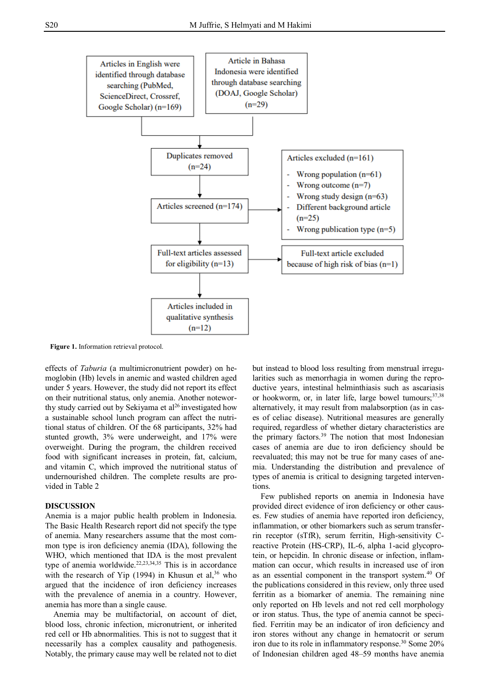

**Figure 1.** Information retrieval protocol.

effects of *Taburia* (a multimicronutrient powder) on hemoglobin (Hb) levels in anemic and wasted children aged under 5 years. However, the study did not report its effect on their nutritional status, only anemia. Another noteworthy study carried out by Sekiyama et al<sup>26</sup> investigated how a sustainable school lunch program can affect the nutritional status of children. Of the 68 participants, 32% had stunted growth, 3% were underweight, and 17% were overweight. During the program, the children received food with significant increases in protein, fat, calcium, and vitamin C, which improved the nutritional status of undernourished children. The complete results are provided in Table 2

# **DISCUSSION**

Anemia is a major public health problem in Indonesia. The Basic Health Research report did not specify the type of anemia. Many researchers assume that the most common type is iron deficiency anemia (IDA), following the WHO, which mentioned that IDA is the most prevalent type of anemia worldwide.<sup>22,23,34,35</sup> This is in accordance with the research of Yip (1994) in Khusun et al,  $36$  who argued that the incidence of iron deficiency increases with the prevalence of anemia in a country. However, anemia has more than a single cause.

Anemia may be multifactorial, on account of diet, blood loss, chronic infection, micronutrient, or inherited red cell or Hb abnormalities. This is not to suggest that it necessarily has a complex causality and pathogenesis. Notably, the primary cause may well be related not to diet

but instead to blood loss resulting from menstrual irregularities such as menorrhagia in women during the reproductive years, intestinal helminthiasis such as ascariasis or hookworm, or, in later life, large bowel tumours;<sup>37,38</sup> alternatively, it may result from malabsorption (as in cases of celiac disease). Nutritional measures are generally required, regardless of whether dietary characteristics are the primary factors.<sup>39</sup> The notion that most Indonesian cases of anemia are due to iron deficiency should be reevaluated; this may not be true for many cases of anemia. Understanding the distribution and prevalence of types of anemia is critical to designing targeted interventions.

Few published reports on anemia in Indonesia have provided direct evidence of iron deficiency or other causes. Few studies of anemia have reported iron deficiency, inflammation, or other biomarkers such as serum transferrin receptor (sTfR), serum ferritin, High-sensitivity Creactive Protein (HS-CRP), IL-6, alpha 1-acid glycoprotein, or hepcidin. In chronic disease or infection, inflammation can occur, which results in increased use of iron as an essential component in the transport system.<sup>40</sup> Of the publications considered in this review, only three used ferritin as a biomarker of anemia. The remaining nine only reported on Hb levels and not red cell morphology or iron status. Thus, the type of anemia cannot be specified. Ferritin may be an indicator of iron deficiency and iron stores without any change in hematocrit or serum iron due to its role in inflammatory response.<sup>30</sup> Some 20% of Indonesian children aged 48–59 months have anemia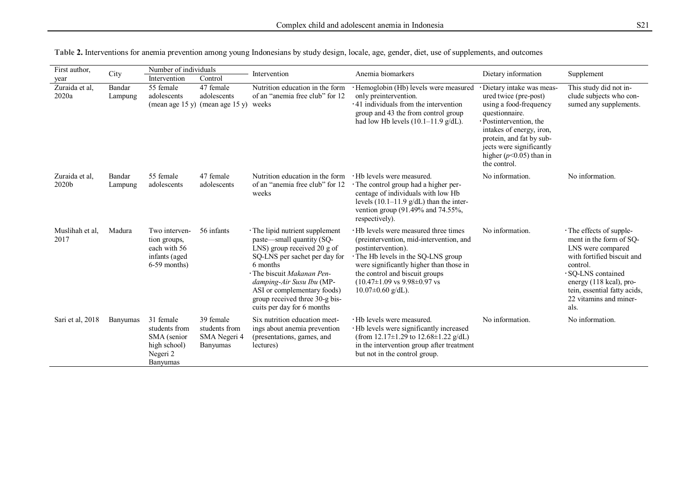| First author,           | City              | Number of individuals                                                             |                                                        | Intervention                                                                                                                                                                                                                                                                                       | Anemia biomarkers                                                                                                                                                                                                                                                                                        | Dietary information                                                                                                                                                                                                                                           | Supplement                                                                                                                                                                                                                            |  |
|-------------------------|-------------------|-----------------------------------------------------------------------------------|--------------------------------------------------------|----------------------------------------------------------------------------------------------------------------------------------------------------------------------------------------------------------------------------------------------------------------------------------------------------|----------------------------------------------------------------------------------------------------------------------------------------------------------------------------------------------------------------------------------------------------------------------------------------------------------|---------------------------------------------------------------------------------------------------------------------------------------------------------------------------------------------------------------------------------------------------------------|---------------------------------------------------------------------------------------------------------------------------------------------------------------------------------------------------------------------------------------|--|
| year                    |                   | Intervention                                                                      | Control                                                |                                                                                                                                                                                                                                                                                                    |                                                                                                                                                                                                                                                                                                          |                                                                                                                                                                                                                                                               |                                                                                                                                                                                                                                       |  |
| Zuraida et al,<br>2020a | Bandar<br>Lampung | 55 female<br>adolescents<br>(mean age $15 y$ )                                    | 47 female<br>adolescents<br>(mean age $15 y$ )         | Nutrition education in the form<br>of an "anemia free club" for 12<br>weeks                                                                                                                                                                                                                        | · Hemoglobin (Hb) levels were measured<br>only preintervention.<br>·41 individuals from the intervention<br>group and 43 the from control group<br>had low Hb levels $(10.1-11.9 \text{ g/dL}).$                                                                                                         | · Dietary intake was meas-<br>ured twice (pre-post)<br>using a food-frequency<br>questionnaire.<br>· Postintervention, the<br>intakes of energy, iron,<br>protein, and fat by sub-<br>jects were significantly<br>higher ( $p$ <0.05) than in<br>the control. | This study did not in-<br>clude subjects who con-<br>sumed any supplements.                                                                                                                                                           |  |
| Zuraida et al,<br>2020b | Bandar<br>Lampung | 55 female<br>adolescents                                                          | 47 female<br>adolescents                               | Nutrition education in the form<br>of an "anemia free club" for 12<br>weeks                                                                                                                                                                                                                        | · Hb levels were measured.<br>· The control group had a higher per-<br>centage of individuals with low Hb<br>levels $(10.1-11.9 \text{ g/dL})$ than the inter-<br>vention group (91.49% and 74.55%,<br>respectively).                                                                                    | No information.                                                                                                                                                                                                                                               | No information.                                                                                                                                                                                                                       |  |
| Muslihah et al,<br>2017 | Madura            | Two interven-<br>tion groups,<br>each with 56<br>infants (aged<br>$6-59$ months)  | 56 infants                                             | · The lipid nutrient supplement<br>paste—small quantity (SQ-<br>LNS) group received 20 g of<br>SQ-LNS per sachet per day for<br>6 months<br>· The biscuit Makanan Pen-<br>damping-Air Susu Ibu (MP-<br>ASI or complementary foods)<br>group received three 30-g bis-<br>cuits per day for 6 months | Hb levels were measured three times<br>(preintervention, mid-intervention, and<br>postintervention).<br>The Hb levels in the SQ-LNS group<br>were significantly higher than those in<br>the control and biscuit groups<br>$(10.47\pm1.09 \text{ vs } 9.98\pm0.97 \text{ vs }$<br>$10.07 \pm 0.60$ g/dL). | No information.                                                                                                                                                                                                                                               | · The effects of supple-<br>ment in the form of SQ-<br>LNS were compared<br>with fortified biscuit and<br>control.<br>· SO-LNS contained<br>energy (118 kcal), pro-<br>tein, essential fatty acids,<br>22 vitamins and miner-<br>als. |  |
| Sari et al, 2018        | Banyumas          | 31 female<br>students from<br>SMA (senior<br>high school)<br>Negeri 2<br>Banyumas | 39 female<br>students from<br>SMA Negeri 4<br>Banyumas | Six nutrition education meet-<br>ings about anemia prevention<br>(presentations, games, and<br>lectures)                                                                                                                                                                                           | · Hb levels were measured.<br>· Hb levels were significantly increased<br>(from 12.17 $\pm$ 1.29 to 12.68 $\pm$ 1.22 g/dL)<br>in the intervention group after treatment<br>but not in the control group.                                                                                                 | No information.                                                                                                                                                                                                                                               | No information.                                                                                                                                                                                                                       |  |

|  |  |  | Table 2. Interventions for anemia prevention among young Indonesians by study design, locale, age, gender, diet, use of supplements, and outcomes |  |  |  |  |  |
|--|--|--|---------------------------------------------------------------------------------------------------------------------------------------------------|--|--|--|--|--|
|  |  |  |                                                                                                                                                   |  |  |  |  |  |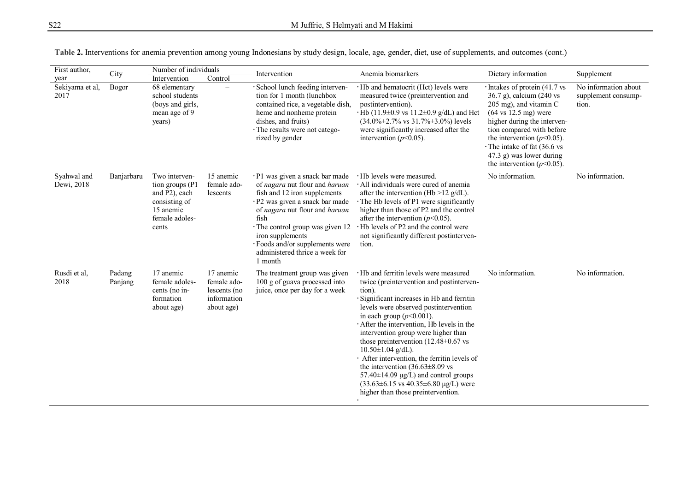| First author,             | City              | Number of individuals                                                                                       |                                                                       | Intervention                                                                                                                                                                                                                                                                                                         | Anemia biomarkers                                                                                                                                                                                                                                                                                                                                                                                                                                                                                                                                                                                                                  | Dietary information                                                                                                                                                                                                                                                                                                            | Supplement                                           |  |
|---------------------------|-------------------|-------------------------------------------------------------------------------------------------------------|-----------------------------------------------------------------------|----------------------------------------------------------------------------------------------------------------------------------------------------------------------------------------------------------------------------------------------------------------------------------------------------------------------|------------------------------------------------------------------------------------------------------------------------------------------------------------------------------------------------------------------------------------------------------------------------------------------------------------------------------------------------------------------------------------------------------------------------------------------------------------------------------------------------------------------------------------------------------------------------------------------------------------------------------------|--------------------------------------------------------------------------------------------------------------------------------------------------------------------------------------------------------------------------------------------------------------------------------------------------------------------------------|------------------------------------------------------|--|
| year                      |                   | Intervention                                                                                                | Control                                                               |                                                                                                                                                                                                                                                                                                                      |                                                                                                                                                                                                                                                                                                                                                                                                                                                                                                                                                                                                                                    |                                                                                                                                                                                                                                                                                                                                |                                                      |  |
| Sekiyama et al,<br>2017   | Bogor             | 68 elementary<br>school students<br>(boys and girls,<br>mean age of 9<br>years)                             | $\equiv$                                                              | · School lunch feeding interven-<br>tion for 1 month (lunchbox<br>contained rice, a vegetable dish,<br>heme and nonheme protein<br>dishes, and fruits)<br>· The results were not catego-<br>rized by gender                                                                                                          | · Hb and hematocrit (Hct) levels were<br>measured twice (preintervention and<br>postintervention).<br>$\cdot$ Hb (11.9±0.9 vs 11.2±0.9 g/dL) and Hct<br>$(34.0\% \pm 2.7\% \text{ vs } 31.7\% \pm 3.0\%)$ levels<br>were significantly increased after the<br>intervention ( $p<0.05$ ).                                                                                                                                                                                                                                                                                                                                           | $\cdot$ Intakes of protein (41.7 vs<br>36.7 g), calcium (240 vs<br>205 mg), and vitamin C<br>$(64 \text{ vs } 12.5 \text{ mg})$ were<br>higher during the interven-<br>tion compared with before<br>the intervention ( $p<0.05$ ).<br>The intake of fat (36.6 vs<br>47.3 g) was lower during<br>the intervention ( $p<0.05$ ). | No information about<br>supplement consump-<br>tion. |  |
| Syahwal and<br>Dewi, 2018 | Banjarbaru        | Two interven-<br>tion groups (P1)<br>and P2), each<br>consisting of<br>15 anemic<br>female adoles-<br>cents | 15 anemic<br>female ado-<br>lescents                                  | · P1 was given a snack bar made<br>of nagara nut flour and haruan<br>fish and 12 iron supplements<br>· P2 was given a snack bar made<br>of nagara nut flour and haruan<br>fish<br>The control group was given 12<br>iron supplements<br>· Foods and/or supplements were<br>administered thrice a week for<br>1 month | · Hb levels were measured.<br>All individuals were cured of anemia<br>after the intervention (Hb $>12$ g/dL).<br>The Hb levels of P1 were significantly<br>higher than those of P2 and the control<br>after the intervention ( $p<0.05$ ).<br>. Hb levels of P2 and the control were<br>not significantly different postinterven-<br>tion.                                                                                                                                                                                                                                                                                         | No information.                                                                                                                                                                                                                                                                                                                | No information.                                      |  |
| Rusdi et al,<br>2018      | Padang<br>Panjang | 17 anemic<br>female adoles-<br>cents (no in-<br>formation<br>about age)                                     | 17 anemic<br>female ado-<br>lescents (no<br>information<br>about age) | The treatment group was given<br>100 g of guava processed into<br>juice, once per day for a week                                                                                                                                                                                                                     | · Hb and ferritin levels were measured<br>twice (preintervention and postinterven-<br>tion).<br>Significant increases in Hb and ferritin<br>levels were observed postintervention<br>in each group $(p<0.001)$ .<br>After the intervention, Hb levels in the<br>intervention group were higher than<br>those preintervention $(12.48 \pm 0.67 \text{ vs }$<br>$10.50 \pm 1.04$ g/dL).<br>· After intervention, the ferritin levels of<br>the intervention $(36.63\pm8.09)$ vs<br>$57.40\pm14.09$ µg/L) and control groups<br>$(33.63 \pm 6.15 \text{ vs } 40.35 \pm 6.80 \text{ µg/L})$ were<br>higher than those preintervention. | No information.                                                                                                                                                                                                                                                                                                                | No information.                                      |  |

**Table 2.** Interventions for anemia prevention among young Indonesians by study design, locale, age, gender, diet, use of supplements, and outcomes (cont.)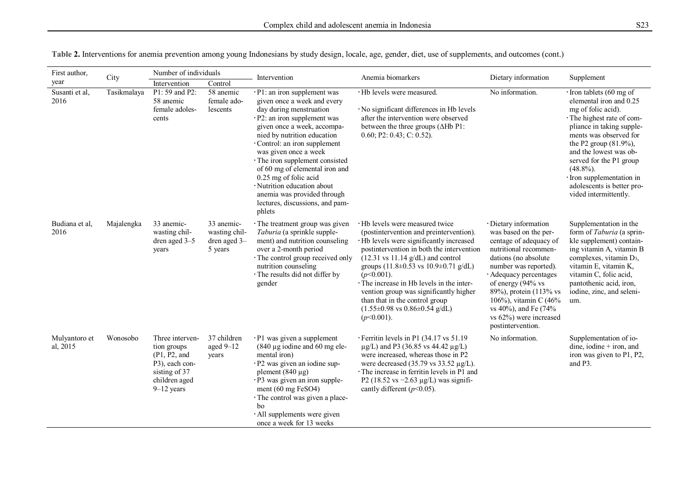| First author,             | City        | Number of individuals                                                                                                |                                                        | Intervention                                                                                                                                                                                                                                                                                                                                                                                                                                                                                                                                                                                                                                                                                                                                           | Anemia biomarkers                                                                                                                                                                                                                                                                                                         | Dietary information                                                                                                                                                                                                                                                                                                         | Supplement                                                                                                                                                                                                                                                                                                                                             |
|---------------------------|-------------|----------------------------------------------------------------------------------------------------------------------|--------------------------------------------------------|--------------------------------------------------------------------------------------------------------------------------------------------------------------------------------------------------------------------------------------------------------------------------------------------------------------------------------------------------------------------------------------------------------------------------------------------------------------------------------------------------------------------------------------------------------------------------------------------------------------------------------------------------------------------------------------------------------------------------------------------------------|---------------------------------------------------------------------------------------------------------------------------------------------------------------------------------------------------------------------------------------------------------------------------------------------------------------------------|-----------------------------------------------------------------------------------------------------------------------------------------------------------------------------------------------------------------------------------------------------------------------------------------------------------------------------|--------------------------------------------------------------------------------------------------------------------------------------------------------------------------------------------------------------------------------------------------------------------------------------------------------------------------------------------------------|
| year                      |             | Intervention                                                                                                         | Control                                                |                                                                                                                                                                                                                                                                                                                                                                                                                                                                                                                                                                                                                                                                                                                                                        |                                                                                                                                                                                                                                                                                                                           |                                                                                                                                                                                                                                                                                                                             |                                                                                                                                                                                                                                                                                                                                                        |
| Susanti et al,<br>2016    | Tasikmalaya | P1: 59 and P2:<br>58 anemic<br>female adoles-<br>cents                                                               | 58 anemic<br>female ado-<br>lescents                   | $\cdot$ P1: an iron supplement was<br>given once a week and every<br>day during menstruation<br>· P2: an iron supplement was<br>given once a week, accompa-<br>nied by nutrition education<br>Control: an iron supplement<br>was given once a week<br>· The iron supplement consisted<br>of 60 mg of elemental iron and<br>0.25 mg of folic acid<br>· Nutrition education about<br>anemia was provided through<br>lectures, discussions, and pam-<br>phlets                                                                                                                                                                                                                                                                                            | · Hb levels were measured.<br>· No significant differences in Hb levels<br>after the intervention were observed<br>between the three groups $(\Delta Hb$ P1:<br>$0.60; P2: 0.43; C: 0.52$ ).                                                                                                                              | No information.                                                                                                                                                                                                                                                                                                             | $\cdot$ Iron tablets (60 mg of<br>elemental iron and 0.25<br>mg of folic acid).<br>· The highest rate of com-<br>pliance in taking supple-<br>ments was observed for<br>the P2 group (81.9%),<br>and the lowest was ob-<br>served for the P1 group<br>$(48.8\%)$ .<br>· Iron supplementation in<br>adolescents is better pro-<br>vided intermittently. |
| Budiana et al,<br>2016    | Majalengka  | 33 anemic-<br>wasting chil-<br>dren aged 3-5<br>years                                                                | 33 anemic-<br>wasting chil-<br>dren aged 3-<br>5 years | · The treatment group was given<br>· Hb levels were measured twice<br>Taburia (a sprinkle supple-<br>(postintervention and preintervention).<br>ment) and nutrition counseling<br>· Hb levels were significantly increased<br>over a 2-month period<br>postintervention in both the intervention<br>· The control group received only<br>$(12.31 \text{ vs } 11.14 \text{ g/dL})$ and control<br>nutrition counseling<br>groups $(11.8 \pm 0.53 \text{ vs } 10.9 \pm 0.71 \text{ g/dL})$<br>· The results did not differ by<br>$(p<0.001)$ .<br>The increase in Hb levels in the inter-<br>gender<br>vention group was significantly higher<br>than that in the control group<br>$(1.55\pm0.98 \text{ vs } 0.86\pm0.54 \text{ g/dL})$<br>$(p<0.001)$ . |                                                                                                                                                                                                                                                                                                                           | · Dietary information<br>was based on the per-<br>centage of adequacy of<br>nutritional recommen-<br>dations (no absolute<br>number was reported).<br>· Adequacy percentages<br>of energy (94% vs<br>89%), protein (113% vs<br>106%), vitamin C (46%<br>vs 40%), and Fe (74%<br>vs 62%) were increased<br>postintervention. | Supplementation in the<br>form of Taburia (a sprin-<br>kle supplement) contain-<br>ing vitamin A, vitamin B<br>complexes, vitamin D <sub>3</sub> ,<br>vitamin E, vitamin K,<br>vitamin C, folic acid,<br>pantothenic acid, iron,<br>iodine, zinc, and seleni-<br>um.                                                                                   |
| Mulyantoro et<br>al, 2015 | Wonosobo    | Three interven-<br>tion groups<br>(P1, P2, and<br>P3), each con-<br>sisting of 37<br>children aged<br>$9 - 12$ years | 37 children<br>aged $9-12$<br>years                    | · P1 was given a supplement<br>$(840 \mu g)$ iodine and 60 mg ele-<br>mental iron)<br>· P2 was given an iodine sup-<br>plement $(840 \mu g)$<br>· P3 was given an iron supple-<br>ment (60 mg FeSO4)<br>· The control was given a place-<br>bo<br>· All supplements were given<br>once a week for 13 weeks                                                                                                                                                                                                                                                                                                                                                                                                                                             | · Ferritin levels in P1 (34.17 vs 51.19)<br>$\mu$ g/L) and P3 (36.85 vs 44.42 $\mu$ g/L)<br>were increased, whereas those in P2<br>were decreased $(35.79 \text{ vs } 33.52 \text{ µg/L}).$<br>The increase in ferritin levels in P1 and<br>P2 (18.52 vs $-2.63 \mu g/L$ ) was signifi-<br>cantly different ( $p$ <0.05). | No information.                                                                                                                                                                                                                                                                                                             | Supplementation of io-<br>dine, iodine + iron, and<br>iron was given to P1, P2,<br>and P3.                                                                                                                                                                                                                                                             |

**Table 2.** Interventions for anemia prevention among young Indonesians by study design, locale, age, gender, diet, use of supplements, and outcomes (cont.)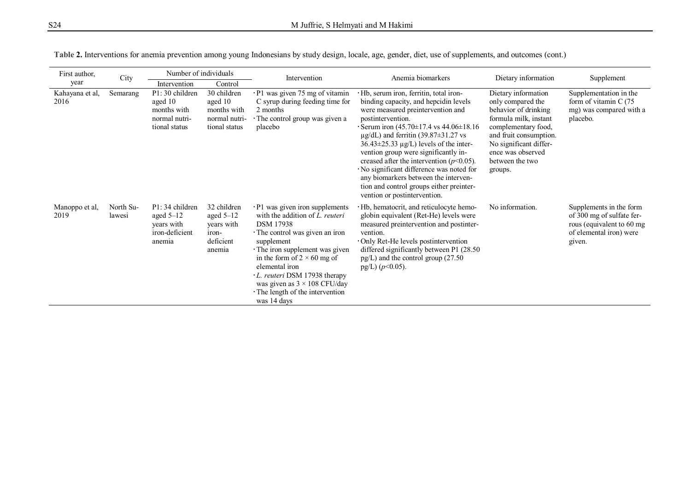| First author,           | City                | Number of individuals                                                      |                                                                          | Intervention                                                                                                                                                                                                                                                                                                                                                         | Anemia biomarkers                                                                                                                                                                                                                                                                                                                                                                                                                                                                                                                                                      | Dietary information                                                                                                                                                                                                     | Supplement                                                                                                             |
|-------------------------|---------------------|----------------------------------------------------------------------------|--------------------------------------------------------------------------|----------------------------------------------------------------------------------------------------------------------------------------------------------------------------------------------------------------------------------------------------------------------------------------------------------------------------------------------------------------------|------------------------------------------------------------------------------------------------------------------------------------------------------------------------------------------------------------------------------------------------------------------------------------------------------------------------------------------------------------------------------------------------------------------------------------------------------------------------------------------------------------------------------------------------------------------------|-------------------------------------------------------------------------------------------------------------------------------------------------------------------------------------------------------------------------|------------------------------------------------------------------------------------------------------------------------|
| year                    |                     | Intervention                                                               | Control                                                                  |                                                                                                                                                                                                                                                                                                                                                                      |                                                                                                                                                                                                                                                                                                                                                                                                                                                                                                                                                                        |                                                                                                                                                                                                                         |                                                                                                                        |
| Kahayana et al,<br>2016 | Semarang            | P1:30 children<br>aged 10<br>months with<br>normal nutri-<br>tional status | 30 children<br>aged 10<br>months with<br>normal nutri-<br>tional status  | $\cdot$ P1 was given 75 mg of vitamin<br>C syrup during feeding time for<br>2 months<br>The control group was given a<br>placebo                                                                                                                                                                                                                                     | · Hb, serum iron, ferritin, total iron-<br>binding capacity, and hepcidin levels<br>were measured preintervention and<br>postintervention.<br>Serum iron $(45.70 \pm 17.4 \text{ vs } 44.06 \pm 18.16)$<br>$\mu$ g/dL) and ferritin (39.87 $\pm$ 31.27 vs<br>$36.43 \pm 25.33 \mu g/L$ ) levels of the inter-<br>vention group were significantly in-<br>creased after the intervention ( $p<0.05$ ).<br>· No significant difference was noted for<br>any biomarkers between the interven-<br>tion and control groups either preinter-<br>vention or postintervention. | Dietary information<br>only compared the<br>behavior of drinking<br>formula milk, instant<br>complementary food,<br>and fruit consumption.<br>No significant differ-<br>ence was observed<br>between the two<br>groups. | Supplementation in the<br>form of vitamin C (75<br>mg) was compared with a<br>placebo.                                 |
| Manoppo et al,<br>2019  | North Su-<br>lawesi | P1:34 children<br>aged $5-12$<br>years with<br>iron-deficient<br>anemia    | 32 children<br>aged $5-12$<br>years with<br>iron-<br>deficient<br>anemia | $\cdot$ P1 was given iron supplements<br>with the addition of L. reuteri<br><b>DSM</b> 17938<br>The control was given an iron<br>supplement<br>The iron supplement was given<br>in the form of $2 \times 60$ mg of<br>elemental iron<br>L. reuteri DSM 17938 therapy<br>was given as $3 \times 108$ CFU/day<br>$\cdot$ The length of the intervention<br>was 14 days | · Hb, hematocrit, and reticulocyte hemo-<br>globin equivalent (Ret-He) levels were<br>measured preintervention and postinter-<br>vention.<br>· Only Ret-He levels postintervention<br>differed significantly between P1 (28.50)<br>$pg/L$ ) and the control group (27.50<br>pg/L) $(p<0.05)$ .                                                                                                                                                                                                                                                                         | No information.                                                                                                                                                                                                         | Supplements in the form<br>of 300 mg of sulfate fer-<br>rous (equivalent to 60 mg<br>of elemental iron) were<br>given. |

| Table 2. Interventions for anemia prevention among young Indonesians by study design, locale, age, gender, diet, use of supplements, and outcomes (cont.) |  |  |  |  |  |
|-----------------------------------------------------------------------------------------------------------------------------------------------------------|--|--|--|--|--|
|                                                                                                                                                           |  |  |  |  |  |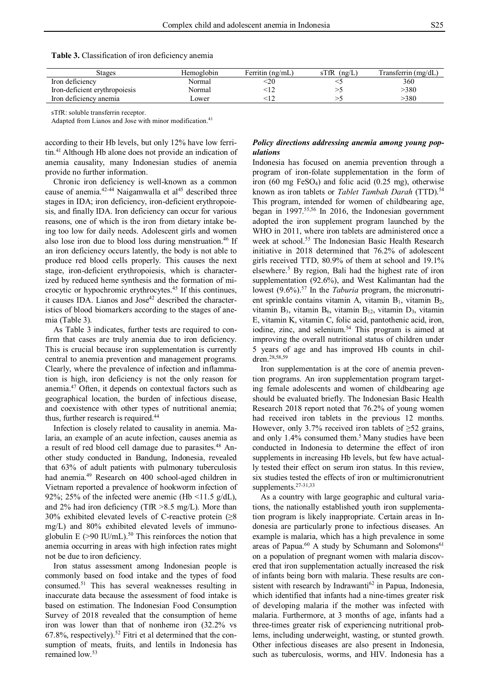| <b>Table 3.</b> Classification of iron deficiency anemia |  |  |  |
|----------------------------------------------------------|--|--|--|
|----------------------------------------------------------|--|--|--|

| Stages                        | Hemoglobin   | Ferritin (ng/mL) | sTfR<br>(ng/L) | Transferrin (mg/dL) |
|-------------------------------|--------------|------------------|----------------|---------------------|
| Iron deficiency               | Normal       | :20              |                | 360                 |
| Iron-deficient erythropoiesis | Normal       |                  |                | >380                |
| Iron deficiency anemia        | <b>Lower</b> |                  |                | -380                |

sTfR: soluble transferrin receptor.

Adapted from Lianos and Jose with minor modification. 41

according to their Hb levels, but only 12% have low ferritin.<sup>41</sup> Although Hb alone does not provide an indication of anemia causality, many Indonesian studies of anemia provide no further information.

Chronic iron deficiency is well-known as a common cause of anemia. $42-44$  Naigamwalla et al $45$  described three stages in IDA; iron deficiency, iron-deficient erythropoiesis, and finally IDA. Iron deficiency can occur for various reasons, one of which is the iron from dietary intake being too low for daily needs. Adolescent girls and women also lose iron due to blood loss during menstruation.<sup>46</sup> If an iron deficiency occurs latently, the body is not able to produce red blood cells properly. This causes the next stage, iron-deficient erythropoiesis, which is characterized by reduced heme synthesis and the formation of microcytic or hypochromic erythrocytes.<sup>45</sup> If this continues, it causes IDA. Lianos and Jose<sup>42</sup> described the characteristics of blood biomarkers according to the stages of anemia (Table 3).

As Table 3 indicates, further tests are required to confirm that cases are truly anemia due to iron deficiency. This is crucial because iron supplementation is currently central to anemia prevention and management programs. Clearly, where the prevalence of infection and inflammation is high, iron deficiency is not the only reason for anemia.<sup>47</sup> Often, it depends on contextual factors such as geographical location, the burden of infectious disease, and coexistence with other types of nutritional anemia; thus, further research is required.<sup>44</sup>

Infection is closely related to causality in anemia. Malaria, an example of an acute infection, causes anemia as a result of red blood cell damage due to parasites.<sup>48</sup> Another study conducted in Bandung, Indonesia, revealed that 63% of adult patients with pulmonary tuberculosis had anemia.<sup>49</sup> Research on 400 school-aged children in Vietnam reported a prevalence of hookworm infection of 92%; 25% of the infected were anemic (Hb  $\leq$ 11.5 g/dL), and 2% had iron deficiency (TfR >8.5 mg/L). More than 30% exhibited elevated levels of C-reactive protein (≥8 mg/L) and 80% exhibited elevated levels of immunoglobulin E  $(>90 \text{ IU/mL})$ .<sup>50</sup> This reinforces the notion that anemia occurring in areas with high infection rates might not be due to iron deficiency.

Iron status assessment among Indonesian people is commonly based on food intake and the types of food consumed.<sup>51</sup> This has several weaknesses resulting in inaccurate data because the assessment of food intake is based on estimation. The Indonesian Food Consumption Survey of 2018 revealed that the consumption of heme iron was lower than that of nonheme iron (32.2% vs  $67.8\%$ , respectively).<sup>52</sup> Fitri et al determined that the consumption of meats, fruits, and lentils in Indonesia has remained low.<sup>53</sup>

# *Policy directions addressing anemia among young populations*

Indonesia has focused on anemia prevention through a program of iron-folate supplementation in the form of iron (60 mg FeSO4) and folic acid (0.25 mg), otherwise known as iron tablets or *Tablet Tambah Darah* (TTD).<sup>54</sup> This program, intended for women of childbearing age, began in 1997.<sup>55,56</sup> In 2016, the Indonesian government adopted the iron supplement program launched by the WHO in 2011, where iron tablets are administered once a week at school.<sup>55</sup> The Indonesian Basic Health Research initiative in 2018 determined that 76.2% of adolescent girls received TTD, 80.9% of them at school and 19.1% elsewhere.<sup>5</sup> By region, Bali had the highest rate of iron supplementation (92.6%), and West Kalimantan had the lowest (9.6%).<sup>57</sup> In the *Taburia* program, the micronutrient sprinkle contains vitamin A, vitamin  $B_1$ , vitamin  $B_2$ , vitamin  $B_3$ , vitamin  $B_6$ , vitamin  $B_{12}$ , vitamin  $D_3$ , vitamin E, vitamin K, vitamin C, folic acid, pantothenic acid, iron, iodine, zinc, and selenium.<sup>54</sup> This program is aimed at improving the overall nutritional status of children under 5 years of age and has improved Hb counts in children.28,58,59

Iron supplementation is at the core of anemia prevention programs. An iron supplementation program targeting female adolescents and women of childbearing age should be evaluated briefly. The Indonesian Basic Health Research 2018 report noted that 76.2% of young women had received iron tablets in the previous 12 months. However, only 3.7% received iron tablets of  $\geq 52$  grains, and only 1.4% consumed them.<sup>5</sup> Many studies have been conducted in Indonesia to determine the effect of iron supplements in increasing Hb levels, but few have actually tested their effect on serum iron status. In this review, six studies tested the effects of iron or multimicronutrient supplements.27-31,33

As a country with large geographic and cultural variations, the nationally established youth iron supplementation program is likely inappropriate. Certain areas in Indonesia are particularly prone to infectious diseases. An example is malaria, which has a high prevalence in some areas of Papua.<sup>60</sup> A study by Schumann and Solomons<sup>61</sup> on a population of pregnant women with malaria discovered that iron supplementation actually increased the risk of infants being born with malaria. These results are consistent with research by Indrawanti $62$  in Papua, Indonesia, which identified that infants had a nine-times greater risk of developing malaria if the mother was infected with malaria. Furthermore, at 3 months of age, infants had a three-times greater risk of experiencing nutritional problems, including underweight, wasting, or stunted growth. Other infectious diseases are also present in Indonesia, such as tuberculosis, worms, and HIV. Indonesia has a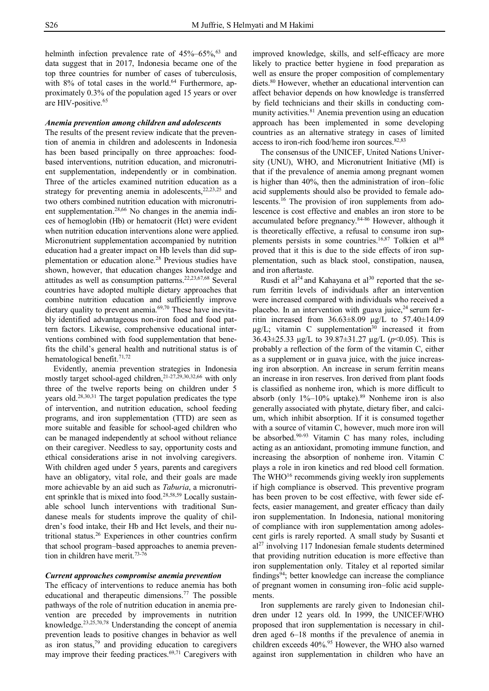helminth infection prevalence rate of  $45\%$ –65%, <sup>63</sup> and data suggest that in 2017, Indonesia became one of the top three countries for number of cases of tuberculosis, with 8% of total cases in the world.<sup>64</sup> Furthermore, approximately 0.3% of the population aged 15 years or over are HIV-positive.<sup>65</sup>

## *Anemia prevention among children and adolescents*

The results of the present review indicate that the prevention of anemia in children and adolescents in Indonesia has been based principally on three approaches: foodbased interventions, nutrition education, and micronutrient supplementation, independently or in combination. Three of the articles examined nutrition education as a strategy for preventing anemia in adolescents, <sup>22,23,25</sup> and two others combined nutrition education with micronutrient supplementation.28,66 No changes in the anemia indices of hemoglobin (Hb) or hematocrit (Hct) were evident when nutrition education interventions alone were applied. Micronutrient supplementation accompanied by nutrition education had a greater impact on Hb levels than did supplementation or education alone.<sup>28</sup> Previous studies have shown, however, that education changes knowledge and attitudes as well as consumption patterns.22,23,67,68 Several countries have adopted multiple dietary approaches that combine nutrition education and sufficiently improve dietary quality to prevent anemia.<sup>69,70</sup> These have inevitably identified advantageous non-iron food and food pattern factors. Likewise, comprehensive educational interventions combined with food supplementation that benefits the child's general health and nutritional status is of hematological benefit.<sup>71,72</sup>

Evidently, anemia prevention strategies in Indonesia mostly target school-aged children,<sup>21-27,29,30,32,66</sup> with only three of the twelve reports being on children under 5 years old.28,30,31 The target population predicates the type of intervention, and nutrition education, school feeding programs, and iron supplementation (TTD) are seen as more suitable and feasible for school-aged children who can be managed independently at school without reliance on their caregiver. Needless to say, opportunity costs and ethical considerations arise in not involving caregivers. With children aged under 5 years, parents and caregivers have an obligatory, vital role, and their goals are made more achievable by an aid such as *Taburia*, a micronutrient sprinkle that is mixed into food.<sup>28,58,59</sup> Locally sustainable school lunch interventions with traditional Sundanese meals for students improve the quality of children's food intake, their Hb and Hct levels, and their nutritional status.<sup>26</sup> Experiences in other countries confirm that school program–based approaches to anemia prevention in children have merit.<sup>73-76</sup>

## *Current approaches compromise anemia prevention*

The efficacy of interventions to reduce anemia has both educational and therapeutic dimensions.<sup>77</sup> The possible pathways of the role of nutrition education in anemia prevention are preceded by improvements in nutrition knowledge.23,25,70,78 Understanding the concept of anemia prevention leads to positive changes in behavior as well as iron status, $79$  and providing education to caregivers may improve their feeding practices. $69,71$  Caregivers with

improved knowledge, skills, and self-efficacy are more likely to practice better hygiene in food preparation as well as ensure the proper composition of complementary diets.<sup>80</sup> However, whether an educational intervention can affect behavior depends on how knowledge is transferred by field technicians and their skills in conducting community activities.<sup>81</sup> Anemia prevention using an education approach has been implemented in some developing countries as an alternative strategy in cases of limited access to iron-rich food/heme iron sources.<sup>82,83</sup>

The consensus of the UNICEF, United Nations University (UNU), WHO, and Micronutrient Initiative (MI) is that if the prevalence of anemia among pregnant women is higher than 40%, then the administration of iron–folic acid supplements should also be provided to female adolescents.<sup>16</sup> The provision of iron supplements from adolescence is cost effective and enables an iron store to be accumulated before pregnancy.84-86 However, although it is theoretically effective, a refusal to consume iron supplements persists in some countries.<sup>16,87</sup> Tolkien et al<sup>88</sup> proved that it this is due to the side effects of iron supplementation, such as black stool, constipation, nausea, and iron aftertaste.

Rusdi et al<sup>24</sup> and Kahayana et al<sup>30</sup> reported that the serum ferritin levels of individuals after an intervention were increased compared with individuals who received a placebo. In an intervention with guava juice,  $24$  serum ferritin increased from 36.63±8.09 μg/L to 57.40±14.09  $\mu$ g/L; vitamin C supplementation<sup>30</sup> increased it from 36.43±25.33 μg/L to 39.87±31.27 μg/L (*p*<0.05). This is probably a reflection of the form of the vitamin C, either as a supplement or in guava juice, with the juice increasing iron absorption. An increase in serum ferritin means an increase in iron reserves. Iron derived from plant foods is classified as nonheme iron, which is more difficult to absorb (only  $1\%$ – $10\%$  uptake).<sup>89</sup> Nonheme iron is also generally associated with phytate, dietary fiber, and calcium, which inhibit absorption. If it is consumed together with a source of vitamin C, however, much more iron will be absorbed.<sup>90-93</sup> Vitamin C has many roles, including acting as an antioxidant, promoting immune function, and increasing the absorption of nonheme iron. Vitamin C plays a role in iron kinetics and red blood cell formation. The WHO $16$  recommends giving weekly iron supplements if high compliance is observed. This preventive program has been proven to be cost effective, with fewer side effects, easier management, and greater efficacy than daily iron supplementation. In Indonesia, national monitoring of compliance with iron supplementation among adolescent girls is rarely reported. A small study by Susanti et  $al<sup>27</sup>$  involving 117 Indonesian female students determined that providing nutrition education is more effective than iron supplementation only. Titaley et al reported similar findings<sup>94</sup>; better knowledge can increase the compliance of pregnant women in consuming iron–folic acid supplements.

Iron supplements are rarely given to Indonesian children under 12 years old. In 1999, the UNICEF/WHO proposed that iron supplementation is necessary in children aged 6–18 months if the prevalence of anemia in children exceeds 40%.<sup>95</sup> However, the WHO also warned against iron supplementation in children who have an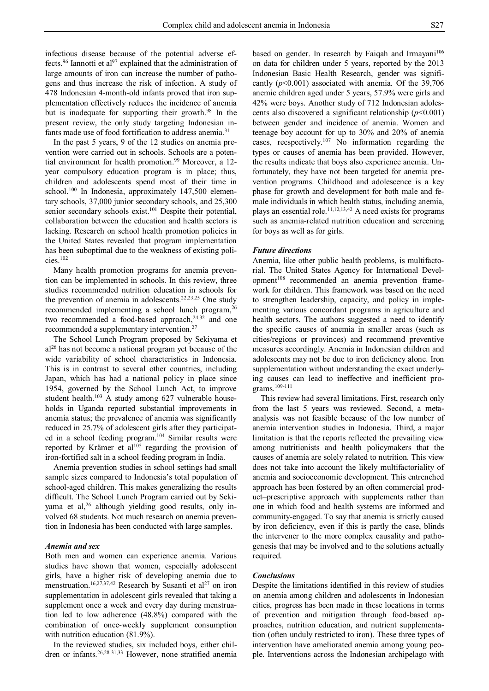infectious disease because of the potential adverse effects.<sup>96</sup> Iannotti et al<sup>97</sup> explained that the administration of large amounts of iron can increase the number of pathogens and thus increase the risk of infection. A study of 478 Indonesian 4-month-old infants proved that iron supplementation effectively reduces the incidence of anemia but is inadequate for supporting their growth.<sup>98</sup> In the present review, the only study targeting Indonesian infants made use of food fortification to address anemia.<sup>31</sup>

In the past 5 years, 9 of the 12 studies on anemia prevention were carried out in schools. Schools are a potential environment for health promotion.<sup>99</sup> Moreover, a 12year compulsory education program is in place; thus, children and adolescents spend most of their time in school.<sup>100</sup> In Indonesia, approximately 147,500 elementary schools, 37,000 junior secondary schools, and 25,300 senior secondary schools exist.<sup>101</sup> Despite their potential, collaboration between the education and health sectors is lacking. Research on school health promotion policies in the United States revealed that program implementation has been suboptimal due to the weakness of existing policies.<sup>102</sup>

Many health promotion programs for anemia prevention can be implemented in schools. In this review, three studies recommended nutrition education in schools for the prevention of anemia in adolescents.<sup>22,23,25</sup> One study recommended implementing a school lunch program,<sup>26</sup> two recommended a food-based approach, $24,32$  and one recommended a supplementary intervention.<sup>27</sup>

The School Lunch Program proposed by Sekiyama et al<sup>26</sup> has not become a national program yet because of the wide variability of school characteristics in Indonesia. This is in contrast to several other countries, including Japan, which has had a national policy in place since 1954, governed by the School Lunch Act, to improve student health.<sup>103</sup> A study among 627 vulnerable households in Uganda reported substantial improvements in anemia status; the prevalence of anemia was significantly reduced in 25.7% of adolescent girls after they participated in a school feeding program.<sup>104</sup> Similar results were reported by Krämer et al<sup>105</sup> regarding the provision of iron-fortified salt in a school feeding program in India.

Anemia prevention studies in school settings had small sample sizes compared to Indonesia's total population of school-aged children. This makes generalizing the results difficult. The School Lunch Program carried out by Sekiyama et al,<sup>26</sup> although yielding good results, only involved 68 students. Not much research on anemia prevention in Indonesia has been conducted with large samples.

# *Anemia and sex*

Both men and women can experience anemia. Various studies have shown that women, especially adolescent girls, have a higher risk of developing anemia due to menstruation.<sup>16,27,37,42</sup> Research by Susanti et al<sup>27</sup> on iron supplementation in adolescent girls revealed that taking a supplement once a week and every day during menstruation led to low adherence (48.8%) compared with the combination of once-weekly supplement consumption with nutrition education (81.9%).

In the reviewed studies, six included boys, either children or infants.26,28-31,33 However, none stratified anemia based on gender. In research by Faiqah and Irmayani<sup>106</sup> on data for children under 5 years, reported by the 2013 Indonesian Basic Health Research, gender was significantly (*p*<0.001) associated with anemia. Of the 39,706 anemic children aged under 5 years, 57.9% were girls and 42% were boys. Another study of 712 Indonesian adolescents also discovered a significant relationship  $(p<0.001)$ between gender and incidence of anemia. Women and teenage boy account for up to 30% and 20% of anemia cases, reespectively.<sup>107</sup> No information regarding the types or causes of anemia has been provided. However, the results indicate that boys also experience anemia. Unfortunately, they have not been targeted for anemia prevention programs. Childhood and adolescence is a key phase for growth and development for both male and female individuals in which health status, including anemia, plays an essential role.11,12,13,42 A need exists for programs such as anemia-related nutrition education and screening for boys as well as for girls.

# *Future directions*

Anemia, like other public health problems, is multifactorial. The United States Agency for International Development<sup>108</sup> recommended an anemia prevention framework for children. This framework was based on the need to strengthen leadership, capacity, and policy in implementing various concordant programs in agriculture and health sectors. The authors suggested a need to identify the specific causes of anemia in smaller areas (such as cities/regions or provinces) and recommend preventive measures accordingly. Anemia in Indonesian children and adolescents may not be due to iron deficiency alone. Iron supplementation without understanding the exact underlying causes can lead to ineffective and inefficient programs.109-111

This review had several limitations. First, research only from the last 5 years was reviewed. Second, a metaanalysis was not feasible because of the low number of anemia intervention studies in Indonesia. Third, a major limitation is that the reports reflected the prevailing view among nutritionists and health policymakers that the causes of anemia are solely related to nutrition. This view does not take into account the likely multifactoriality of anemia and socioeconomic development. This entrenched approach has been fostered by an often commercial product–prescriptive approach with supplements rather than one in which food and health systems are informed and community-engaged. To say that anemia is strictly caused by iron deficiency, even if this is partly the case, blinds the intervener to the more complex causality and pathogenesis that may be involved and to the solutions actually required.

#### *Conclusions*

Despite the limitations identified in this review of studies on anemia among children and adolescents in Indonesian cities, progress has been made in these locations in terms of prevention and mitigation through food-based approaches, nutrition education, and nutrient supplementation (often unduly restricted to iron). These three types of intervention have ameliorated anemia among young people. Interventions across the Indonesian archipelago with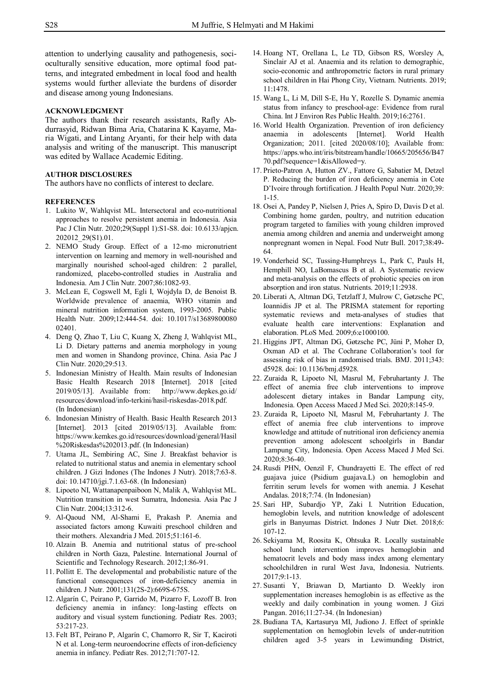attention to underlying causality and pathogenesis, socioculturally sensitive education, more optimal food patterns, and integrated embedment in local food and health systems would further alleviate the burdens of disorder and disease among young Indonesians.

# **ACKNOWLEDGMENT**

The authors thank their research assistants, Rafly Abdurrasyid, Ridwan Bima Aria, Chatarina K Kayame, Maria Wigati, and Lintang Aryanti, for their help with data analysis and writing of the manuscript. This manuscript was edited by Wallace Academic Editing.

## **AUTHOR DISCLOSURES**

The authors have no conflicts of interest to declare.

## **REFERENCES**

- 1. Lukito W, Wahlqvist ML. Intersectoral and eco-nutritional approaches to resolve persistent anemia in Indonesia. Asia Pac J Clin Nutr. 2020;29(Suppl 1):S1-S8. doi: 10.6133/apjcn. 202012\_29(S1).01.
- 2. NEMO Study Group. Effect of a 12-mo micronutrient intervention on learning and memory in well-nourished and marginally nourished school-aged children: 2 parallel, randomized, placebo-controlled studies in Australia and Indonesia. Am J Clin Nutr. 2007;86:1082-93.
- 3. McLean E, Cogswell M, Egli I, Wojdyla D, de Benoist B. Worldwide prevalence of anaemia, WHO vitamin and mineral nutrition information system, 1993-2005. Public Health Nutr. 2009;12:444-54. doi: 10.1017/s13689800080 02401.
- 4. Deng Q, Zhao T, Liu C, Kuang X, Zheng J, Wahlqvist ML, Li D. Dietary patterns and anemia morphology in young men and women in Shandong province, China. Asia Pac J Clin Nutr. 2020;29:513.
- 5. Indonesian Ministry of Health. Main results of Indonesian Basic Health Research 2018 [Internet]. 2018 [cited 2019/05/13]. Available from: http://www.depkes.go.id/ resources/download/info-terkini/hasil-riskesdas-2018.pdf. (In Indonesian)
- 6. Indonesian Ministry of Health. Basic Health Research 2013 [Internet]. 2013 [cited 2019/05/13]. Available from: https://www.kemkes.go.id/resources/download/general/Hasil %20Riskesdas%202013.pdf. (In Indonesian)
- 7. Utama JL, Sembiring AC, Sine J. Breakfast behavior is related to nutritional status and anemia in elementary school children. J Gizi Indones (The Indones J Nutr). 2018;7:63-8. doi: 10.14710/jgi.7.1.63-68. (In Indonesian)
- 8. Lipoeto NI, Wattanapenpaiboon N, Malik A, Wahlqvist ML. Nutrition transition in west Sumatra, Indonesia. Asia Pac J Clin Nutr. 2004;13:312-6.
- 9. Al-Qaoud NM, Al-Shami E, Prakash P. Anemia and associated factors among Kuwaiti preschool children and their mothers. Alexandria J Med. 2015;51:161-6.
- 10. Alzain B. Anemia and nutritional status of pre-school children in North Gaza, Palestine. International Journal of Scientific and Technology Research. 2012;1:86-91.
- 11. Pollitt E. The developmental and probabilistic nature of the functional consequences of iron-deficiency anemia in children. J Nutr. 2001;131(2S-2):669S-675S.
- 12. Algarín C, Peirano P, Garrido M, Pizarro F, Lozoff B. Iron deficiency anemia in infancy: long-lasting effects on auditory and visual system functioning. Pediatr Res. 2003; 53:217-23.
- 13. Felt BT, Peirano P, Algarín C, Chamorro R, Sir T, Kaciroti N et al. Long-term neuroendocrine effects of iron-deficiency anemia in infancy. Pediatr Res. 2012;71:707-12.
- 14. Hoang NT, Orellana L, Le TD, Gibson RS, Worsley A, Sinclair AJ et al. Anaemia and its relation to demographic, socio-economic and anthropometric factors in rural primary school children in Hai Phong City, Vietnam. Nutrients. 2019; 11:1478.
- 15. Wang L, Li M, Dill S-E, Hu Y, Rozelle S. Dynamic anemia status from infancy to preschool-age: Evidence from rural China. Int J Environ Res Public Health. 2019;16:2761.
- 16. World Health Organization. Prevention of iron deficiency anaemia in adolescents [Internet]. World Health Organization; 2011. [cited 2020/08/10]; Available from: https://apps.who.int/iris/bitstream/handle/10665/205656/B47 70.pdf?sequence=1&isAllowed=y.
- 17. Prieto-Patron A, Hutton ZV., Fattore G, Sabatier M, Detzel P. Reducing the burden of iron deficiency anemia in Cote D'Ivoire through fortification. J Health Popul Nutr. 2020;39: 1-15.
- 18. Osei A, Pandey P, Nielsen J, Pries A, Spiro D, Davis D et al. Combining home garden, poultry, and nutrition education program targeted to families with young children improved anemia among children and anemia and underweight among nonpregnant women in Nepal. Food Nutr Bull. 2017;38:49- 64.
- 19. Vonderheid SC, Tussing-Humphreys L, Park C, Pauls H, Hemphill NO, LaBomascus B et al. A Systematic review and meta-analysis on the effects of probiotic species on iron absorption and iron status. Nutrients. 2019;11:2938.
- 20. Liberati A, Altman DG, Tetzlaff J, Mulrow C, Gøtzsche PC, Ioannidis JP et al. The PRISMA statement for reporting systematic reviews and meta-analyses of studies that evaluate health care interventions: Explanation and elaboration. PLoS Med. 2009;6:e1000100.
- 21. Higgins JPT, Altman DG, Gøtzsche PC, Jüni P, Moher D, Oxman AD et al. The Cochrane Collaboration's tool for assessing risk of bias in randomised trials. BMJ. 2011;343: d5928. doi: 10.1136/bmj.d5928.
- 22. Zuraida R, Lipoeto NI, Masrul M, Februhartanty J. The effect of anemia free club interventions to improve adolescent dietary intakes in Bandar Lampung city, Indonesia. Open Access Maced J Med Sci. 2020;8:145-9.
- 23. Zuraida R, Lipoeto NI, Masrul M, Februhartanty J. The effect of anemia free club interventions to improve knowledge and attitude of nutritional iron deficiency anemia prevention among adolescent schoolgirls in Bandar Lampung City, Indonesia. Open Access Maced J Med Sci. 2020;8:36-40.
- 24. Rusdi PHN, Oenzil F, Chundrayetti E. The effect of red guajava juice (Psidium guajava.L) on hemoglobin and ferritin serum levels for women with anemia. J Kesehat Andalas. 2018;7:74. (In Indonesian)
- 25. Sari HP, Subardjo YP, Zaki I. Nutrition Education, hemoglobin levels, and nutrition knowledge of adolescent girls in Banyumas District. Indones J Nutr Diet. 2018;6: 107-12.
- 26. Sekiyama M, Roosita K, Ohtsuka R. Locally sustainable school lunch intervention improves hemoglobin and hematocrit levels and body mass index among elementary schoolchildren in rural West Java, Indonesia. Nutrients. 2017;9:1-13.
- 27. Susanti Y, Briawan D, Martianto D. Weekly iron supplementation increases hemoglobin is as effective as the weekly and daily combination in young women. J Gizi Pangan. 2016;11:27-34. (In Indonesian)
- 28. Budiana TA, Kartasurya MI, Judiono J. Effect of sprinkle supplementation on hemoglobin levels of under-nutrition children aged 3-5 years in Lewimunding District,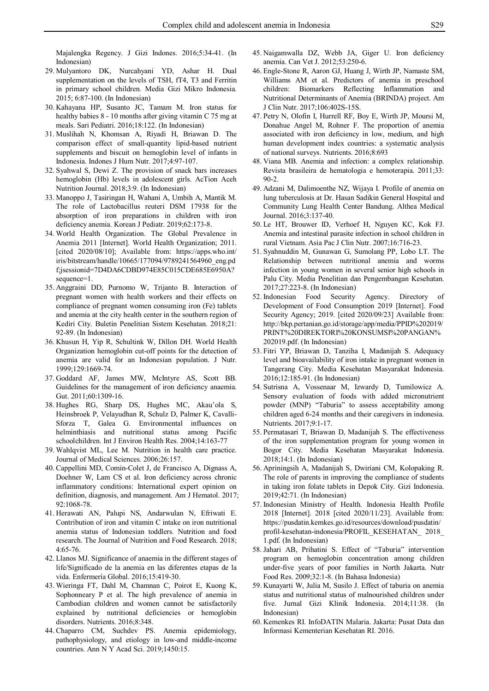Majalengka Regency. J Gizi Indones. 2016;5:34-41. (In Indonesian)

- 29. Mulyantoro DK, Nurcahyani YD, Ashar H. Dual supplementation on the levels of TSH, fT4, T3 and Ferritin in primary school children. Media Gizi Mikro Indonesia. 2015; 6:87-100. (In Indonesian)
- 30. Kahayana HP, Susanto JC, Tamam M. Iron status for healthy babies 8 - 10 months after giving vitamin C 75 mg at meals. Sari Pediatri. 2016;18:122. (In Indonesian)
- 31. Muslihah N, Khomsan A, Riyadi H, Briawan D. The comparison effect of small-quantity lipid-based nutrient supplements and biscuit on hemoglobin level of infants in Indonesia. Indones J Hum Nutr. 2017;4:97-107.
- 32. Syahwal S, Dewi Z. The provision of snack bars increases hemoglobin (Hb) levels in adolescent girls. AcTion Aceh Nutrition Journal. 2018;3:9. (In Indonesian)
- 33. Manoppo J, Tasiringan H, Wahani A, Umbih A, Mantik M. The role of Lactobacillus reuteri DSM 17938 for the absorption of iron preparations in children with iron deficiency anemia. Korean J Pediatr. 2019;62:173-8.
- 34. World Health Organization. The Global Prevalence in Anemia 2011 [Internet]. World Health Organization; 2011. [cited 2020/08/10]; Available from: https://apps.who.int/ iris/bitstream/handle/10665/177094/9789241564960\_eng.pd f;jsessionid=7D4DA6CDBD974E85C015CDE685E6950A? sequence=1.
- 35. Anggraini DD, Purnomo W, Trijanto B. Interaction of pregnant women with health workers and their effects on compliance of pregnant women consuming iron (Fe) tablets and anemia at the city health center in the southern region of Kediri City. Buletin Penelitian Sistem Kesehatan. 2018;21: 92-89. (In Indonesian)
- 36. Khusun H, Yip R, Schultink W, Dillon DH. World Health Organization hemoglobin cut-off points for the detection of anemia are valid for an Indonesian population. J Nutr. 1999;129:1669-74.
- 37. Goddard AF, James MW, McIntyre AS, Scott BB. Guidelines for the management of iron deficiency anaemia. Gut. 2011;60:1309-16.
- 38. Hughes RG, Sharp DS, Hughes MC, Akau'ola S, Heinsbroek P, Velayudhan R, Schulz D, Palmer K, Cavalli-Sforza T, Galea G. Environmental influences on helminthiasis and nutritional status among Pacific schoolchildren. Int J Environ Health Res. 2004;14:163-77
- 39. Wahlqvist ML, Lee M. Nutrition in health care practice. Journal of Medical Sciences. 2006;26:157.
- 40. Cappellini MD, Comin‐Colet J, de Francisco A, Dignass A, Doehner W, Lam CS et al. Iron deficiency across chronic inflammatory conditions: International expert opinion on definition, diagnosis, and management. Am J Hematol. 2017; 92:1068-78.
- 41. Herawati AN, Palupi NS, Andarwulan N, Efriwati E. Contribution of iron and vitamin C intake on iron nutritional anemia status of Indonesian toddlers. Nutrition and food research. The Journal of Nutrition and Food Research. 2018; 4:65-76.
- 42. Llanos MJ. Significance of anaemia in the different stages of life/Significado de la anemia en las diferentes etapas de la vida. Enfermería Global. 2016;15:419-30.
- 43. Wieringa FT, Dahl M, Chamnan C, Poirot E, Kuong K, Sophonneary P et al. The high prevalence of anemia in Cambodian children and women cannot be satisfactorily explained by nutritional deficiencies or hemoglobin disorders. Nutrients. 2016;8:348.
- 44. Chaparro CM, Suchdev PS. Anemia epidemiology, pathophysiology, and etiology in low-and middle-income countries. Ann N Y Acad Sci. 2019;1450:15.
- 45. Naigamwalla DZ, Webb JA, Giger U. Iron deficiency anemia. Can Vet J. 2012;53:250-6.
- 46. Engle-Stone R, Aaron GJ, Huang J, Wirth JP, Namaste SM, Williams AM et al. Predictors of anemia in preschool children: Biomarkers Reflecting Inflammation and Nutritional Determinants of Anemia (BRINDA) project. Am J Clin Nutr. 2017;106:402S-15S.
- 47. Petry N, Olofin I, Hurrell RF, Boy E, Wirth JP, Moursi M, Donahue Angel M, Rohner F. The proportion of anemia associated with iron deficiency in low, medium, and high human development index countries: a systematic analysis of national surveys. Nutrients. 2016;8:693
- 48. Viana MB. Anemia and infection: a complex relationship. Revista brasileira de hematologia e hemoterapia. 2011;33:  $90 - 2$ .
- 49. Adzani M, Dalimoenthe NZ, Wijaya I. Profile of anemia on lung tuberculosis at Dr. Hasan Sadikin General Hospital and Community Lung Health Center Bandung. Althea Medical Journal. 2016;3:137-40.
- 50. Le HT, Brouwer ID, Verhoef H, Nguyen KC, Kok FJ. Anemia and intestinal parasite infection in school children in rural Vietnam. Asia Pac J Clin Nutr. 2007;16:716-23.
- 51. Syahnuddin M, Gunawan G, Sumolang PP, Lobo LT. The Relationship between nutritional anemia and worms infection in young women in several senior high schools in Palu City. Media Penelitian dan Pengembangan Kesehatan. 2017;27:223-8. (In Indonesian)
- 52. Indonesian Food Security Agency. Directory of Development of Food Consumption 2019 [Internet]. Food Security Agency; 2019. [cited 2020/09/23] Available from: http://bkp.pertanian.go.id/storage/app/media/PPID%202019/ PRINT%20DIREKTORI%20KONSUMSI%20PANGAN% 202019.pdf. (In Indonesian)
- 53. Fitri YP, Briawan D, Tanziha I, Madanijah S. Adequacy level and bioavailability of iron intake in pregnant women in Tangerang City. Media Kesehatan Masyarakat Indonesia. 2016;12:185-91. (In Indonesian)
- 54. Sutrisna A, Vossenaar M, Izwardy D, Tumilowicz A. Sensory evaluation of foods with added micronutrient powder (MNP) "Taburia" to assess acceptability among children aged 6-24 months and their caregivers in indonesia. Nutrients. 2017;9:1-17.
- 55. Permatasari T, Briawan D, Madanijah S. The effectiveness of the iron supplementation program for young women in Bogor City. Media Kesehatan Masyarakat Indonesia. 2018;14:1. (In Indonesian)
- 56. Apriningsih A, Madanijah S, Dwiriani CM, Kolopaking R. The role of parents in improving the compliance of students in taking iron folate tablets in Depok City. Gizi Indonesia. 2019;42:71. (In Indonesian)
- 57. Indonesian Ministry of Health. Indonesia Health Profile 2018 [Internet]. 2018 [cited 2020/11/23]. Available from: https://pusdatin.kemkes.go.id/resources/download/pusdatin/ profil-kesehatan-indonesia/PROFIL\_KESEHATAN\_ 2018\_ 1.pdf. (In Indonesian)
- 58. Jahari AB, Prihatini S. Effect of "Taburia" intervention program on hemoglobin concentration among children under-five years of poor families in North Jakarta. Nutr Food Res. 2009;32:1-8. (In Bahasa Indonesia)
- 59. Kunayarti W, Julia M, Susilo J. Effect of taburia on anemia status and nutritional status of malnourished children under five. Jurnal Gizi Klinik Indonesia. 2014;11:38. (In Indonesian)
- 60. Kemenkes RI. InfoDATIN Malaria. Jakarta: Pusat Data dan Informasi Kementerian Kesehatan RI. 2016.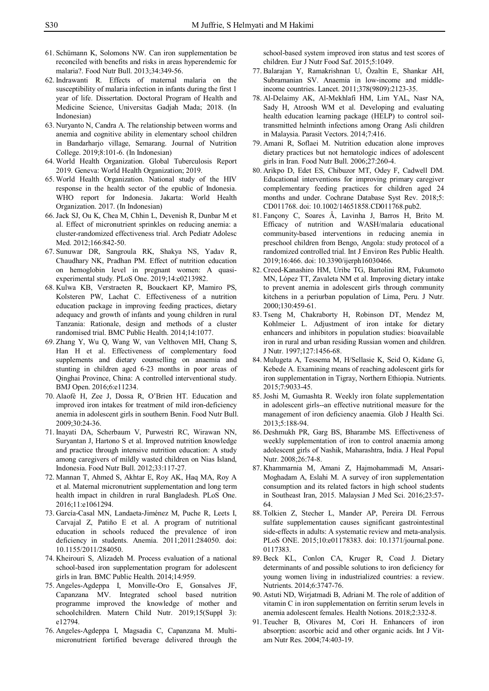- 61. Schümann K, Solomons NW. Can iron supplementation be reconciled with benefits and risks in areas hyperendemic for malaria?. Food Nutr Bull. 2013;34:349-56.
- 62. Indrawanti R. Effects of maternal malaria on the susceptibility of malaria infection in infants during the first 1 year of life. Dissertation. Doctoral Program of Health and Medicine Science, Universitas Gadjah Mada; 2018. (In Indonesian)
- 63. Nuryanto N, Candra A. The relationship between worms and anemia and cognitive ability in elementary school children in Bandarharjo village, Semarang. Journal of Nutrition College. 2019;8:101-6. (In Indonesian)
- 64. World Health Organization. Global Tuberculosis Report 2019. Geneva: World Health Organization; 2019.
- 65. World Health Organization. National study of the HIV response in the health sector of the epublic of Indonesia. WHO report for Indonesia. Jakarta: World Health Organization. 2017. (In Indonesian)
- 66. Jack SJ, Ou K, Chea M, Chhin L, Devenish R, Dunbar M et al. Effect of micronutrient sprinkles on reducing anemia: a cluster-randomized effectiveness trial. Arch Pediatr Adolesc Med. 2012;166:842-50.
- 67. Sunuwar DR, Sangroula RK, Shakya NS, Yadav R, Chaudhary NK, Pradhan PM. Effect of nutrition education on hemoglobin level in pregnant women: A quasiexperimental study. PLoS One. 2019;14:e0213982.
- 68. Kulwa KB, Verstraeten R, Bouckaert KP, Mamiro PS, Kolsteren PW, Lachat C. Effectiveness of a nutrition education package in improving feeding practices, dietary adequacy and growth of infants and young children in rural Tanzania: Rationale, design and methods of a cluster randomised trial. BMC Public Health. 2014;14:1077.
- 69. Zhang Y, Wu Q, Wang W, van Velthoven MH, Chang S, Han H et al. Effectiveness of complementary food supplements and dietary counselling on anaemia and stunting in children aged 6-23 months in poor areas of Qinghai Province, China: A controlled interventional study. BMJ Open. 2016;6:e11234.
- 70. Alaofè H, Zee J, Dossa R, O'Brien HT. Education and improved iron intakes for treatment of mild iron-deficiency anemia in adolescent girls in southern Benin. Food Nutr Bull. 2009;30:24-36.
- 71. Inayati DA, Scherbaum V, Purwestri RC, Wirawan NN, Suryantan J, Hartono S et al. Improved nutrition knowledge and practice through intensive nutrition education: A study among caregivers of mildly wasted children on Nias Island, Indonesia. Food Nutr Bull. 2012;33:117-27.
- 72. Mannan T, Ahmed S, Akhtar E, Roy AK, Haq MA, Roy A et al. Maternal micronutrient supplementation and long term health impact in children in rural Bangladesh. PLoS One. 2016;11:e1061294.
- 73. García-Casal MN, Landaeta-Jiménez M, Puche R, Leets I, Carvajal Z, Patiño E et al. A program of nutritional education in schools reduced the prevalence of iron deficiency in students. Anemia. 2011;2011:284050. doi: 10.1155/2011/284050.
- 74. Kheirouri S, Alizadeh M. Process evaluation of a national school-based iron supplementation program for adolescent girls in Iran. BMC Public Health. 2014;14:959.
- 75. Angeles-Agdeppa I, Monville-Oro E, Gonsalves JF, Capanzana MV. Integrated school based nutrition programme improved the knowledge of mother and schoolchildren. Matern Child Nutr. 2019;15(Suppl 3): e12794.
- 76. Angeles-Agdeppa I, Magsadia C, Capanzana M. Multimicronutrient fortified beverage delivered through the

school-based system improved iron status and test scores of children. Eur J Nutr Food Saf. 2015;5:1049.

- 77. Balarajan Y, Ramakrishnan U, Özaltin E, Shankar AH, Subramanian SV. Anaemia in low-income and middleincome countries. Lancet. 2011;378(9809):2123-35.
- 78. Al-Delaimy AK, Al-Mekhlafi HM, Lim YAL, Nasr NA, Sady H, Atroosh WM et al. Developing and evaluating health education learning package (HELP) to control soiltransmitted helminth infections among Orang Asli children in Malaysia. Parasit Vectors. 2014;7:416.
- 79. Amani R, Soflaei M. Nutrition education alone improves dietary practices but not hematologic indices of adolescent girls in Iran. Food Nutr Bull. 2006;27:260-4.
- 80. Arikpo D, Edet ES, Chibuzor MT, Odey F, Cadwell DM. Educational interventions for improving primary caregiver complementary feeding practices for children aged 24 months and under. Cochrane Database Syst Rev. 2018;5: CD011768. doi: 10.1002/14651858.CD011768.pub2.
- 81. Fançony C, Soares Â, Lavinha J, Barros H, Brito M. Efficacy of nutrition and WASH/malaria educational community-based interventions in reducing anemia in preschool children from Bengo, Angola: study protocol of a randomized controlled trial. Int J Environ Res Public Health. 2019;16:466. doi: 10.3390/ijerph16030466.
- 82. Creed-Kanashiro HM, Uribe TG, Bartolini RM, Fukumoto MN, López TT, Zavaleta NM et al. Improving dietary intake to prevent anemia in adolescent girls through community kitchens in a periurban population of Lima, Peru. J Nutr. 2000;130:459-61.
- 83. Tseng M, Chakraborty H, Robinson DT, Mendez M, Kohlmeier L. Adjustment of iron intake for dietary enhancers and inhibitors in population studies: bioavailable iron in rural and urban residing Russian women and children. J Nutr. 1997;127:1456-68.
- 84. Mulugeta A, Tessema M, H/Sellasie K, Seid O, Kidane G, Kebede A. Examining means of reaching adolescent girls for iron supplementation in Tigray, Northern Ethiopia. Nutrients. 2015;7:9033-45.
- 85. Joshi M, Gumashta R. Weekly iron folate supplementation in adolescent girls--an effective nutritional measure for the management of iron deficiency anaemia. Glob J Health Sci. 2013;5:188-94.
- 86. Deshmukh PR, Garg BS, Bharambe MS. Effectiveness of weekly supplementation of iron to control anaemia among adolescent girls of Nashik, Maharashtra, India. J Heal Popul Nutr. 2008;26:74-8.
- 87. Khammarnia M, Amani Z, Hajmohammadi M, Ansari-Moghadam A, Eslahi M. A survey of iron supplementation consumption and its related factors in high school students in Southeast Iran, 2015. Malaysian J Med Sci. 2016;23:57- 64.
- 88. Tolkien Z, Stecher L, Mander AP, Pereira DI. Ferrous sulfate supplementation causes significant gastrointestinal side-effects in adults: A systematic review and meta-analysis. PLoS ONE. 2015;10:e01178383. doi: 10.1371/journal.pone. 0117383.
- 89. Beck KL, Conlon CA, Kruger R, Coad J. Dietary determinants of and possible solutions to iron deficiency for young women living in industrialized countries: a review. Nutrients. 2014;6:3747-76.
- 90. Astuti ND, Wirjatmadi B, Adriani M. The role of addition of vitamin C in iron supplementation on ferritin serum levels in anemia adolescent females. Health Notions. 2018;2:332-8.
- 91. Teucher B, Olivares M, Cori H. Enhancers of iron absorption: ascorbic acid and other organic acids. Int J Vitam Nutr Res. 2004;74:403-19.